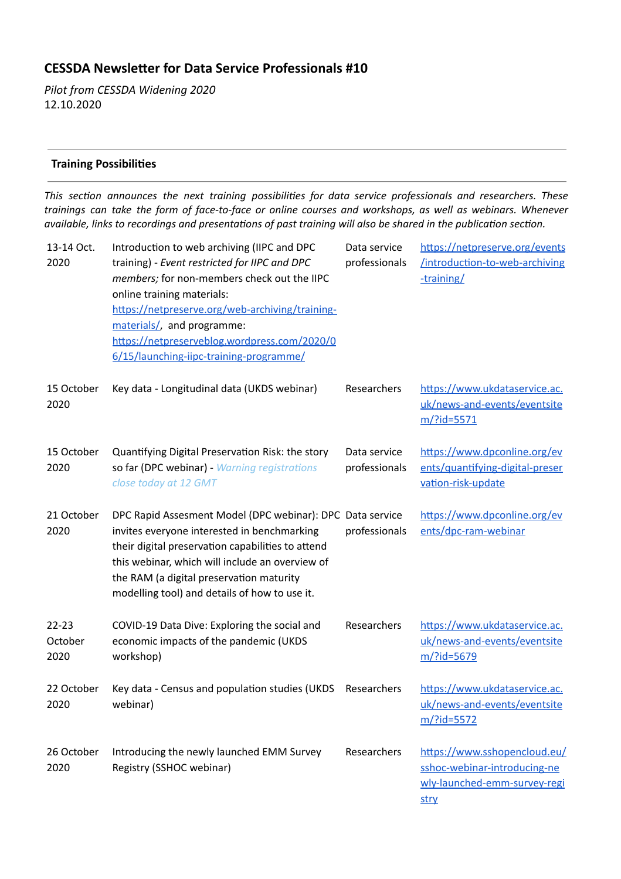# **CESSDA Newsleer for Data Service Professionals #10**

*Pilot from CESSDA Widening 2020*  12.10.2020

## **Training Possibilities**

*This secon announces the next training possibilies for data service professionals and researchers. These trainings can take the form of face-to-face or online courses and workshops, as well as webinars. Whenever available, links to recordings and presentations of past training will also be shared in the publication section.* 

| 13-14 Oct.<br>2020           | Introduction to web archiving (IIPC and DPC<br>training) - Event restricted for IIPC and DPC<br>members; for non-members check out the IIPC<br>online training materials:<br>https://netpreserve.org/web-archiving/training-<br>materials/, and programme:<br>https://netpreserveblog.wordpress.com/2020/0<br>6/15/launching-iipc-training-programme/ | Data service<br>professionals | https://netpreserve.org/events<br>/introduction-to-web-archiving<br>-training/                       |
|------------------------------|-------------------------------------------------------------------------------------------------------------------------------------------------------------------------------------------------------------------------------------------------------------------------------------------------------------------------------------------------------|-------------------------------|------------------------------------------------------------------------------------------------------|
| 15 October<br>2020           | Key data - Longitudinal data (UKDS webinar)                                                                                                                                                                                                                                                                                                           | Researchers                   | https://www.ukdataservice.ac.<br>uk/news-and-events/eventsite<br>$m$ /?id=5571                       |
| 15 October<br>2020           | Quantifying Digital Preservation Risk: the story<br>so far (DPC webinar) - Warning registrations<br>close today at 12 GMT                                                                                                                                                                                                                             | Data service<br>professionals | https://www.dpconline.org/ev<br>ents/quantifying-digital-preser<br>vation-risk-update                |
| 21 October<br>2020           | DPC Rapid Assesment Model (DPC webinar): DPC Data service<br>invites everyone interested in benchmarking<br>their digital preservation capabilities to attend<br>this webinar, which will include an overview of<br>the RAM (a digital preservation maturity<br>modelling tool) and details of how to use it.                                         | professionals                 | https://www.dpconline.org/ev<br>ents/dpc-ram-webinar                                                 |
| $22 - 23$<br>October<br>2020 | COVID-19 Data Dive: Exploring the social and<br>economic impacts of the pandemic (UKDS<br>workshop)                                                                                                                                                                                                                                                   | Researchers                   | https://www.ukdataservice.ac.<br>uk/news-and-events/eventsite<br>m/?id=5679                          |
| 22 October<br>2020           | Key data - Census and population studies (UKDS<br>webinar)                                                                                                                                                                                                                                                                                            | Researchers                   | https://www.ukdataservice.ac.<br>uk/news-and-events/eventsite<br>$m$ /?id=5572                       |
| 26 October<br>2020           | Introducing the newly launched EMM Survey<br>Registry (SSHOC webinar)                                                                                                                                                                                                                                                                                 | Researchers                   | https://www.sshopencloud.eu/<br>sshoc-webinar-introducing-ne<br>wly-launched-emm-survey-regi<br>stry |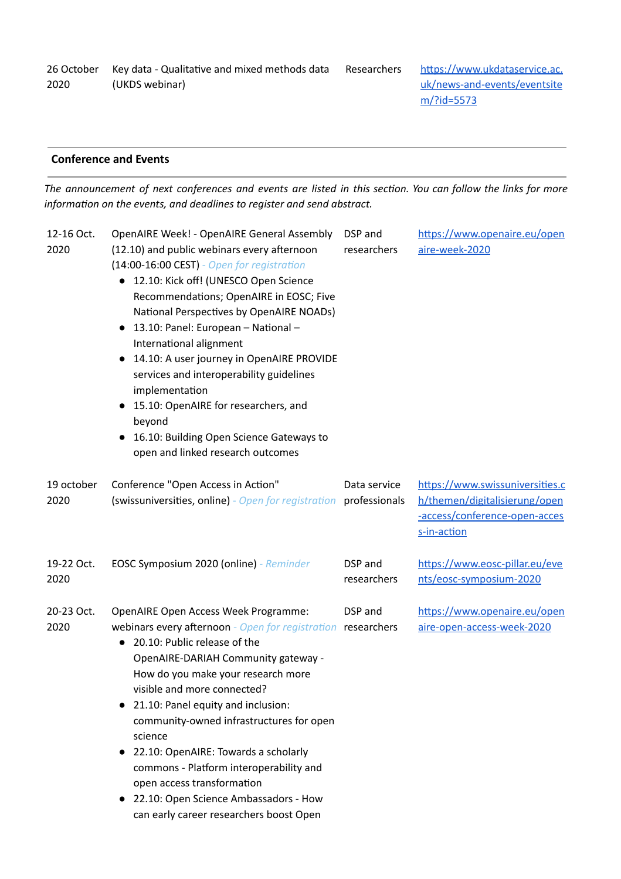|      | 26 October Key data - Qualitative and mixed methods data | Re: |
|------|----------------------------------------------------------|-----|
| 2020 | (UKDS webinar)                                           |     |

searchers https://www.ukdataservice.ac. [uk/news-and-events/eventsite](https://www.ukdataservice.ac.uk/news-and-events/eventsitem/?id=5573) [m/?id=5573](https://www.ukdataservice.ac.uk/news-and-events/eventsitem/?id=5573)

# **Conference and Events**

The announcement of next conferences and events are listed in this section. You can follow the links for more *information on the events, and deadlines to register and send abstract.* 

| 12-16 Oct.<br>2020 | OpenAIRE Week! - OpenAIRE General Assembly<br>(12.10) and public webinars every afternoon<br>(14:00-16:00 CEST) - Open for registration<br>• 12.10: Kick off! (UNESCO Open Science<br>Recommendations; OpenAIRE in EOSC; Five<br>National Perspectives by OpenAIRE NOADs)<br>13.10: Panel: European - National -<br>$\bullet$<br>International alignment<br>14.10: A user journey in OpenAIRE PROVIDE<br>$\bullet$<br>services and interoperability guidelines<br>implementation<br>• 15.10: OpenAIRE for researchers, and<br>beyond<br>16.10: Building Open Science Gateways to<br>open and linked research outcomes | DSP and<br>researchers | https://www.openaire.eu/open<br>aire-week-2020                                                                   |
|--------------------|-----------------------------------------------------------------------------------------------------------------------------------------------------------------------------------------------------------------------------------------------------------------------------------------------------------------------------------------------------------------------------------------------------------------------------------------------------------------------------------------------------------------------------------------------------------------------------------------------------------------------|------------------------|------------------------------------------------------------------------------------------------------------------|
| 19 october<br>2020 | Conference "Open Access in Action"<br>(swissuniversities, online) - Open for registration professionals                                                                                                                                                                                                                                                                                                                                                                                                                                                                                                               | Data service           | https://www.swissuniversities.c<br>h/themen/digitalisierung/open<br>-access/conference-open-acces<br>s-in-action |
| 19-22 Oct.<br>2020 | EOSC Symposium 2020 (online) - Reminder                                                                                                                                                                                                                                                                                                                                                                                                                                                                                                                                                                               | DSP and<br>researchers | https://www.eosc-pillar.eu/eve<br>nts/eosc-symposium-2020                                                        |
| 20-23 Oct.<br>2020 | OpenAIRE Open Access Week Programme:<br>webinars every afternoon - Open for registration researchers<br>20.10: Public release of the<br>$\bullet$<br>OpenAIRE-DARIAH Community gateway -<br>How do you make your research more<br>visible and more connected?<br>21.10: Panel equity and inclusion:<br>community-owned infrastructures for open<br>science<br>• 22.10: OpenAIRE: Towards a scholarly<br>commons - Platform interoperability and<br>open access transformation<br>22.10: Open Science Ambassadors - How<br>$\bullet$<br>can early career researchers boost Open                                        | DSP and                | https://www.openaire.eu/open<br>aire-open-access-week-2020                                                       |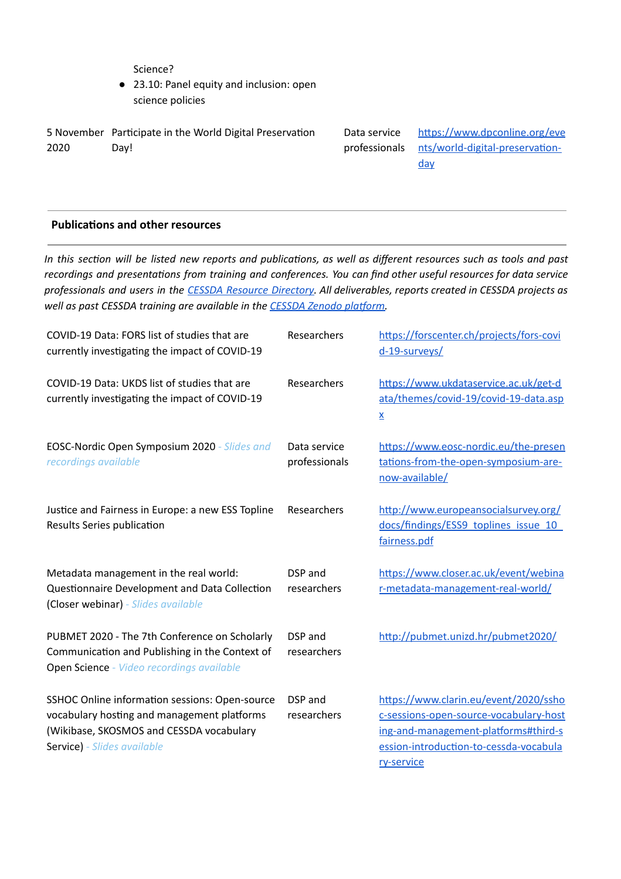Science?

● 23.10: Panel equity and inclusion: open science policies

|      | 5 November Participate in the World Digital Preservation | Data service | https://www.dpconline.org/eve                 |
|------|----------------------------------------------------------|--------------|-----------------------------------------------|
| 2020 | Dav!                                                     |              | professionals nts/world-digital-preservation- |
|      |                                                          |              | <u>day</u>                                    |

### **Publications and other resources**

In this section will be listed new reports and publications, as well as different resources such as tools and past *recordings* and presentations from training and conferences. You can find other useful resources for data service professionals and users in the CESSDA Resource [Directory](https://www.zotero.org/groups/2382601/cessda_resource_directory/library). All deliverables, reports created in CESSDA projects as *well* as past CESSDA training are available in the **CESSDA** Zenodo platform.

| COVID-19 Data: FORS list of studies that are<br>currently investigating the impact of COVID-19                                                                           | Researchers                   | https://forscenter.ch/projects/fors-covi<br>d-19-surveys/                                                                                                                       |
|--------------------------------------------------------------------------------------------------------------------------------------------------------------------------|-------------------------------|---------------------------------------------------------------------------------------------------------------------------------------------------------------------------------|
| COVID-19 Data: UKDS list of studies that are<br>currently investigating the impact of COVID-19                                                                           | Researchers                   | https://www.ukdataservice.ac.uk/get-d<br>ata/themes/covid-19/covid-19-data.asp<br>$\underline{\mathsf{X}}$                                                                      |
| EOSC-Nordic Open Symposium 2020 - Slides and<br>recordings available                                                                                                     | Data service<br>professionals | https://www.eosc-nordic.eu/the-presen<br>tations-from-the-open-symposium-are-<br>now-available/                                                                                 |
| Justice and Fairness in Europe: a new ESS Topline<br>Results Series publication                                                                                          | Researchers                   | http://www.europeansocialsurvey.org/<br>docs/findings/ESS9_toplines_issue_10_<br>fairness.pdf                                                                                   |
| Metadata management in the real world:<br>Questionnaire Development and Data Collection<br>(Closer webinar) - Slides available                                           | DSP and<br>researchers        | https://www.closer.ac.uk/event/webina<br>r-metadata-management-real-world/                                                                                                      |
| PUBMET 2020 - The 7th Conference on Scholarly<br>Communication and Publishing in the Context of<br>Open Science - Video recordings available                             | DSP and<br>researchers        | http://pubmet.unizd.hr/pubmet2020/                                                                                                                                              |
| SSHOC Online information sessions: Open-source<br>vocabulary hosting and management platforms<br>(Wikibase, SKOSMOS and CESSDA vocabulary<br>Service) - Slides available | DSP and<br>researchers        | https://www.clarin.eu/event/2020/ssho<br>c-sessions-open-source-vocabulary-host<br>ing-and-management-platforms#third-s<br>ession-introduction-to-cessda-vocabula<br>ry-service |